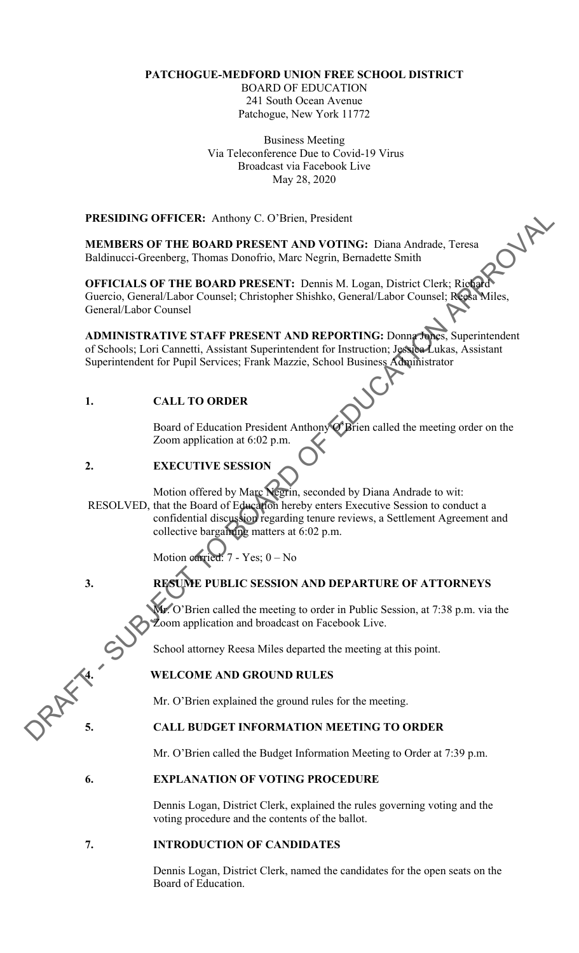# **PATCHOGUE-MEDFORD UNION FREE SCHOOL DISTRICT**

BOARD OF EDUCATION 241 South Ocean Avenue Patchogue, New York 11772

Business Meeting Via Teleconference Due to Covid-19 Virus Broadcast via Facebook Live May 28, 2020

**PRESIDING OFFICER:** Anthony C. O'Brien, President

**MEMBERS OF THE BOARD PRESENT AND VOTING:** Diana Andrade, Teresa Baldinucci-Greenberg, Thomas Donofrio, Marc Negrin, Bernadette Smith

**OFFICIALS OF THE BOARD PRESENT:** Dennis M. Logan, District Clerk; Richard Guercio, General/Labor Counsel; Christopher Shishko, General/Labor Counsel; Reesa Miles, General/Labor Counsel

**ADMINISTRATIVE STAFF PRESENT AND REPORTING:** Donna Jones, Superintendent of Schools; Lori Cannetti, Assistant Superintendent for Instruction; Jessica Lukas, Assistant Superintendent for Pupil Services; Frank Mazzie, School Business Administrator

# **1. CALL TO ORDER**

Board of Education President Anthony O'Brien called the meeting order on the Zoom application at 6:02 p.m.

# **2. EXECUTIVE SESSIO**

**PRESIDING OFFICER:** Anthony C. O'Brien, President<br>
MEANDERS OF THE BOARD PRESENT AND OVERNOT BUILD (For SHAMPLE CITED AND HAIDMONET TOWARD PRESENT: Domin's M. Logan, District Click; Rigginal<br>
GENECIALS OF THE BOARD PRESE Motion offered by Marc Negrin, seconded by Diana Andrade to wit: RESOLVED, that the Board of Education hereby enters Executive Session to conduct a confidential discussion regarding tenure reviews, a Settlement Agreement and collective bargaining matters at 6:02 p.m.

Motion carried: 7 - Yes; 0 – No

# **3. RESUME PUBLIC SESSION AND DEPARTURE OF ATTORNEYS**

Mr. O'Brien called the meeting to order in Public Session, at 7:38 p.m. via the Zoom application and broadcast on Facebook Live.

School attorney Reesa Miles departed the meeting at this point.

# **4. WELCOME AND GROUND RULES**

Mr. O'Brien explained the ground rules for the meeting.

# **5. CALL BUDGET INFORMATION MEETING TO ORDER**

Mr. O'Brien called the Budget Information Meeting to Order at 7:39 p.m.

# **6. EXPLANATION OF VOTING PROCEDURE**

Dennis Logan, District Clerk, explained the rules governing voting and the voting procedure and the contents of the ballot.

# **7. INTRODUCTION OF CANDIDATES**

Dennis Logan, District Clerk, named the candidates for the open seats on the Board of Education.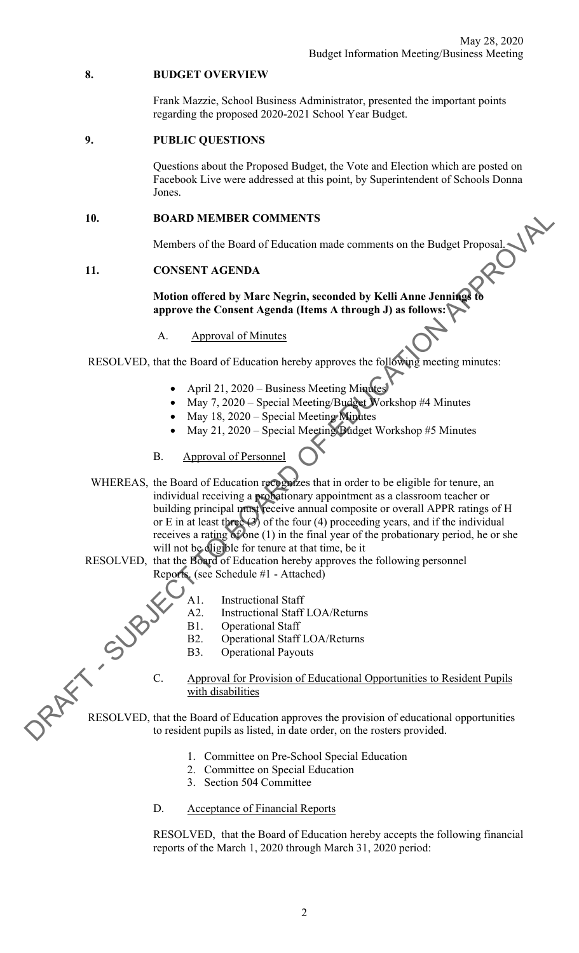### **8. BUDGET OVERVIEW**

Frank Mazzie, School Business Administrator, presented the important points regarding the proposed 2020-2021 School Year Budget.

#### **9. PUBLIC QUESTIONS**

Questions about the Proposed Budget, the Vote and Election which are posted on Facebook Live were addressed at this point, by Superintendent of Schools Donna Jones.

Members of the Board of Education made comments on the Budget Proposal.

## **11. CONSENT AGENDA**

#### **Motion offered by Marc Negrin, seconded by Kelli Anne Jennings to approve the Consent Agenda (Items A through J) as follows:**

A. Approval of Minutes

RESOLVED, that the Board of Education hereby approves the following meeting minutes:

- April 21, 2020 Business Meeting Minutes
- May 7, 2020 Special Meeting/Budget Workshop #4 Minutes
- May 18, 2020 Special Meeting Minutes
- May 21, 2020 Special Meeting/Budget Workshop #5 Minutes
- B. Approval of Personnel
- 10. BOARD MEMBER COMMENTS<br>
Members of the Board of Education made comments on the Budget Proposal<br>
11. CONSENT AGENDA<br>
Mution affects by Marie Negrin, seconded by Kelli Anne Jennings<br>
approve the Coment Agenda (Items A th WHEREAS, the Board of Education recognizes that in order to be eligible for tenure, an individual receiving a probationary appointment as a classroom teacher or building principal must receive annual composite or overall APPR ratings of H or E in at least three  $(3)$  of the four  $(4)$  proceeding years, and if the individual receives a rating of one (1) in the final year of the probationary period, he or she will not be eligible for tenure at that time, be it
	- RESOLVED, that the Board of Education hereby approves the following personnel Reports. (see Schedule #1 - Attached)

**Operational Staff** 



C. Approval for Provision of Educational Opportunities to Resident Pupils with disabilities

C. Approval for Provision of Educational Opportunities to Resident Pupils<br>with disabilities<br>RESOLVED, that the Board of Education approves the provision of educational opportunities<br>to resident pupils as listed, in date or to resident pupils as listed, in date order, on the rosters provided.

- 1. Committee on Pre-School Special Education
- 2. Committee on Special Education
- 3. Section 504 Committee

#### D. Acceptance of Financial Reports

RESOLVED, that the Board of Education hereby accepts the following financial reports of the March 1, 2020 through March 31, 2020 period: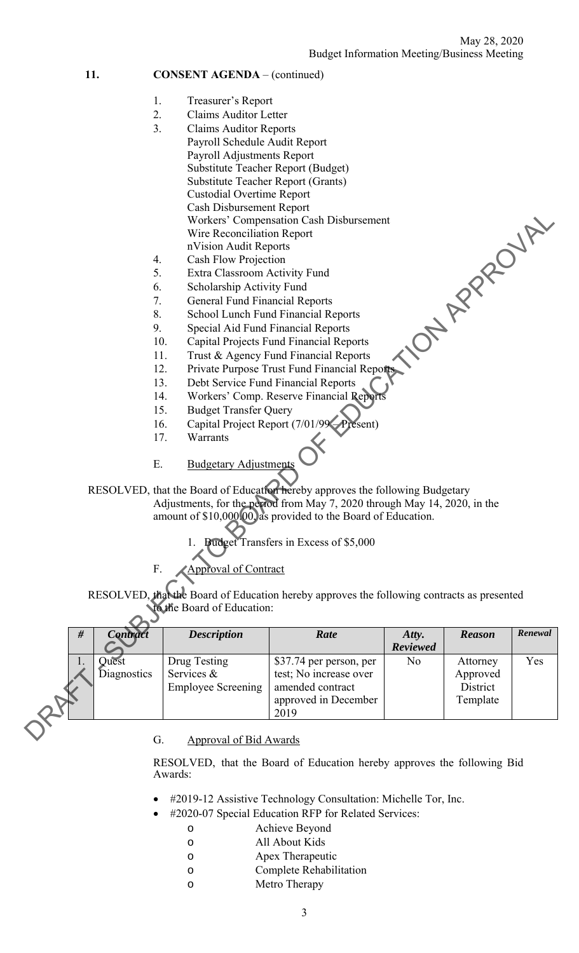# 11. **CONSENT AGENDA** – (continued)

- 1. Treasurer's Report
- 2. Claims Auditor Letter
- 3. Claims Auditor Reports Payroll Schedule Audit Report Payroll Adjustments Report Substitute Teacher Report (Budget) Substitute Teacher Report (Grants) Custodial Overtime Report Cash Disbursement Report Workers' Compensation Cash Disbursement Wire Reconciliation Report nVision Audit Reports 12. Private Purpose Trust Fund Financial Reports<br>
12. Private Purpose Trust Fund Financial Reports<br>
12. Private Purpose Trust Fund Financial Reports<br>
12. Private Purpose Trust Fund Financial Reports<br>
12. Private Purpose Tr
- 4. Cash Flow Projection
- 5. Extra Classroom Activity Fund
- 6. Scholarship Activity Fund
- 7. General Fund Financial Reports
- 8. School Lunch Fund Financial Reports
- 9. Special Aid Fund Financial Reports
- 10. Capital Projects Fund Financial Reports
- 11. Trust & Agency Fund Financial Reports
- 
- 13. Debt Service Fund Financial Reports
- 14. Workers' Comp. Reserve Financial Repo
- 15. Budget Transfer Query
- 16. Capital Project Report (7/01/99-Present)
- 17. Warrants

# E. Budgetary Adjustments

- Transfers in Excess of \$5,000
- Approval of Contract

|                  |                                                                                                                  | Workers' Compensation Cash Disbursement                                                                                                                                                                                                                                 |                   |               |         |  |  |
|------------------|------------------------------------------------------------------------------------------------------------------|-------------------------------------------------------------------------------------------------------------------------------------------------------------------------------------------------------------------------------------------------------------------------|-------------------|---------------|---------|--|--|
|                  | Wire Reconciliation Report                                                                                       |                                                                                                                                                                                                                                                                         |                   |               |         |  |  |
|                  | nVision Audit Reports                                                                                            |                                                                                                                                                                                                                                                                         |                   |               |         |  |  |
| 4.               |                                                                                                                  | Cash Flow Projection                                                                                                                                                                                                                                                    |                   |               |         |  |  |
| 5.               |                                                                                                                  | Extra Classroom Activity Fund                                                                                                                                                                                                                                           |                   |               |         |  |  |
| 6.               |                                                                                                                  | Scholarship Activity Fund                                                                                                                                                                                                                                               |                   |               |         |  |  |
|                  | ON APPROUTELY<br>7.<br><b>General Fund Financial Reports</b><br>8.<br><b>School Lunch Fund Financial Reports</b> |                                                                                                                                                                                                                                                                         |                   |               |         |  |  |
|                  |                                                                                                                  |                                                                                                                                                                                                                                                                         |                   |               |         |  |  |
| 9.               |                                                                                                                  | Special Aid Fund Financial Reports                                                                                                                                                                                                                                      |                   |               |         |  |  |
| 10.              |                                                                                                                  | <b>Capital Projects Fund Financial Reports</b>                                                                                                                                                                                                                          |                   |               |         |  |  |
|                  | Trust & Agency Fund Financial Reports<br>11.                                                                     |                                                                                                                                                                                                                                                                         |                   |               |         |  |  |
|                  | 12.<br>Private Purpose Trust Fund Financial Reports                                                              |                                                                                                                                                                                                                                                                         |                   |               |         |  |  |
|                  | Debt Service Fund Financial Reports<br>13.                                                                       |                                                                                                                                                                                                                                                                         |                   |               |         |  |  |
|                  | Workers' Comp. Reserve Financial Reports<br>14.                                                                  |                                                                                                                                                                                                                                                                         |                   |               |         |  |  |
|                  | <b>Budget Transfer Query</b><br>15.                                                                              |                                                                                                                                                                                                                                                                         |                   |               |         |  |  |
| 16.              |                                                                                                                  | Capital Project Report (7/01/99 - Present)                                                                                                                                                                                                                              |                   |               |         |  |  |
| 17.              | Warrants                                                                                                         |                                                                                                                                                                                                                                                                         |                   |               |         |  |  |
|                  |                                                                                                                  |                                                                                                                                                                                                                                                                         |                   |               |         |  |  |
| E.               | <b>Budgetary Adjustments</b>                                                                                     |                                                                                                                                                                                                                                                                         |                   |               |         |  |  |
|                  |                                                                                                                  | RESOLVED, that the Board of Education hereby approves the following Budgetary<br>Adjustments, for the period from May 7, 2020 through May 14, 2020, in the<br>amount of \$10,000.00, as provided to the Board of Education.<br>1. Budget Transfers in Excess of \$5,000 |                   |               |         |  |  |
|                  |                                                                                                                  |                                                                                                                                                                                                                                                                         |                   |               |         |  |  |
| F.               | Approval of Contract                                                                                             |                                                                                                                                                                                                                                                                         |                   |               |         |  |  |
|                  |                                                                                                                  | RESOLVED, that the Board of Education hereby approves the following contracts as presented                                                                                                                                                                              |                   |               |         |  |  |
|                  | to the Board of Education:                                                                                       |                                                                                                                                                                                                                                                                         |                   |               |         |  |  |
|                  |                                                                                                                  |                                                                                                                                                                                                                                                                         |                   |               |         |  |  |
| $\#$<br>Contract | <b>Description</b>                                                                                               | Rate                                                                                                                                                                                                                                                                    | Atty.<br>Reviewed | <b>Reason</b> | Renewal |  |  |
| Quest<br>1.      | Drug Testing                                                                                                     | \$37.74 per person, per                                                                                                                                                                                                                                                 | N <sub>o</sub>    | Attorney      | Yes     |  |  |
| Diagnostics      | Services &                                                                                                       | test; No increase over                                                                                                                                                                                                                                                  |                   | Approved      |         |  |  |
|                  | <b>Employee Screening</b>                                                                                        | amended contract                                                                                                                                                                                                                                                        |                   | District      |         |  |  |
|                  |                                                                                                                  | approved in December<br>2019                                                                                                                                                                                                                                            |                   | Template      |         |  |  |
|                  |                                                                                                                  |                                                                                                                                                                                                                                                                         |                   |               |         |  |  |
|                  | Approval of Rid Awards                                                                                           |                                                                                                                                                                                                                                                                         |                   |               |         |  |  |

#### G. Approval of Bid Awards

RESOLVED, that the Board of Education hereby approves the following Bid Awards:

- #2019-12 Assistive Technology Consultation: Michelle Tor, Inc.
- #2020-07 Special Education RFP for Related Services:
	- o Achieve Beyond
		- o All About Kids
		- o Apex Therapeutic
		- o Complete Rehabilitation
		- o Metro Therapy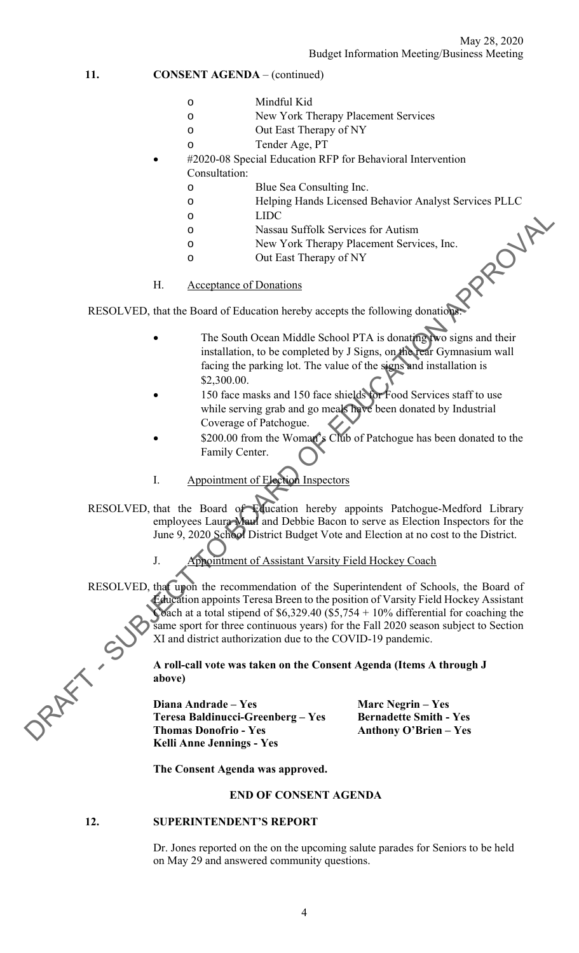11. **CONSENT AGENDA** – (continued)

- o Mindful Kid
- o New York Therapy Placement Services
- o Out East Therapy of NY
- o Tender Age, PT
- #2020-08 Special Education RFP for Behavioral Intervention Consultation:
	- o Blue Sea Consulting Inc.
	- o Helping Hands Licensed Behavior Analyst Services PLLC
	- - o Nassau Suffolk Services for Autism
	- o New York Therapy Placement Services, Inc.
	- o Out East Therapy of NY
- H. Acceptance of Donations

RESOLVED, that the Board of Education hereby accepts the following donations:

- The South Ocean Middle School PTA is donating two signs and their installation, to be completed by J Signs, on the rear Gymnasium wall facing the parking lot. The value of the signs and installation is \$2,300.00.
- 150 face masks and 150 face shields for Food Services staff to use while serving grab and go meals have been donated by Industrial Coverage of Patchogue.
- \$200.00 from the Woman's Club of Patchogue has been donated to the Family Center.
- I. Appointment of Election Inspectors
- RESOLVED, that the Board of Education hereby appoints Patchogue-Medford Library employees Laura Maul and Debbie Bacon to serve as Election Inspectors for the June 9, 2020 School District Budget Vote and Election at no cost to the District.
	- J. Appointment of Assistant Varsity Field Hockey Coach

DRESOLVED, that the Board of Blogady Toric (Services for Antison<br>
o New York theory personent Services, Inc.<br>
o New York theory becomes the following chompings<br>
H. Acceptances of Donations<br>
The South Ocean Middle School RESOLVED, that upon the recommendation of the Superintendent of Schools, the Board of Education appoints Teresa Breen to the position of Varsity Field Hockey Assistant Coach at a total stipend of  $$6,329.40$  (\$5,754 + 10% differential for coaching the same sport for three continuous years) for the Fall 2020 season subject to Section XI and district authorization due to the COVID-19 pandemic.

**A roll-call vote was taken on the Consent Agenda (Items A through J above)** 

**Diana Andrade – Yes Marc Negrin – Yes Teresa Baldinucci-Greenberg – Yes Bernadette Smith - Yes Thomas Donofrio - Yes Anthony O'Brien – Yes Kelli Anne Jennings - Yes** 

**The Consent Agenda was approved.** 

#### **END OF CONSENT AGENDA**

#### **12. SUPERINTENDENT'S REPORT**

Dr. Jones reported on the on the upcoming salute parades for Seniors to be held on May 29 and answered community questions.